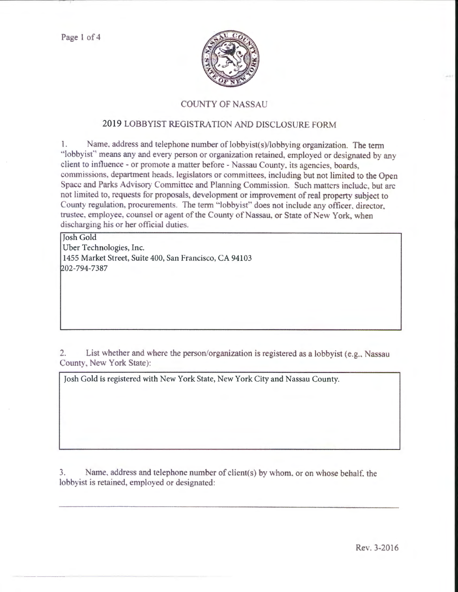Pagel of 4



## COUNTY OF NASSA

## 2019 LOBBYIST REGISTRATION AND DISCLOSURE FORM

1. Name. address and telephone number of lobbyist(s)/lobbying organization. The term "lobbyist" means any and every person or organization retained, employed or designated by any client to influence - or promote a matter before - Nassau County, its agencies, boards. commissions, department heads, legislators or committees, including but not limited to the Open Space and Parks Advisory Committee and Planning Commission. Such matters include, but are not limited to, requests for proposals, development or improvement of real property subject to County regulation, procurements. The term "lobbyist" does not include any officer, director, trustee, employee, counsel or agent of the County of Nassau, or State of New York, when discharging his or her official duties.

Josh Gold Uber Technologies, Inc. 1455 Market Street, Suite 400, San Francisco, CA 94103 ~02-794-7387

2. List whether and where the person/organization is registered as a lobbyist (e.g., Nassau County, New York State):

Josh Gold is registered with New York State, New York City and Nassau County.

3. Name, address and telephone number of client(s) by whom, or on whose behalf, the lobbyist is retained, employed or designated: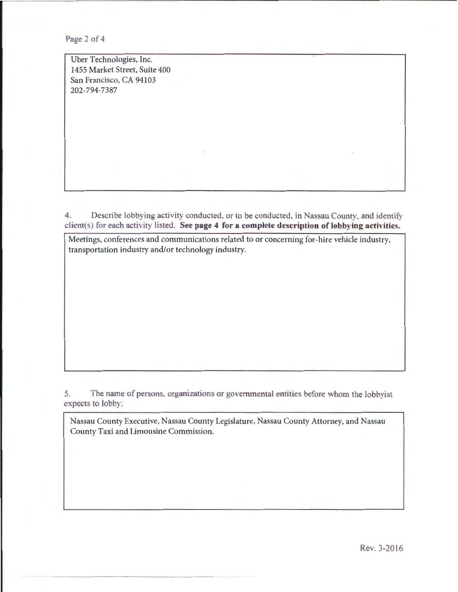Page 2 of 4

Uber Technologies, Inc. 1455 Market Street, Suite 400 San Francisco, CA 94103 202-794-7387

4. Describe lobbying activity conducted, or to be conducted, in Nassau County, and identify client(s) for each activity listed. See page 4 for a complete description of lobbying activities.

Meetings, conferences and communications related to or concerning for-hire vehicle industry, transportation industry and/or technology industry.

5. The name of persons, organizations or governmental entities before whom the lobbyist expects to lobby:

Nassau County Executive, Nassau County Legislature, Nassau County Attorney, and Nassau County Taxi and Limousine Commission.